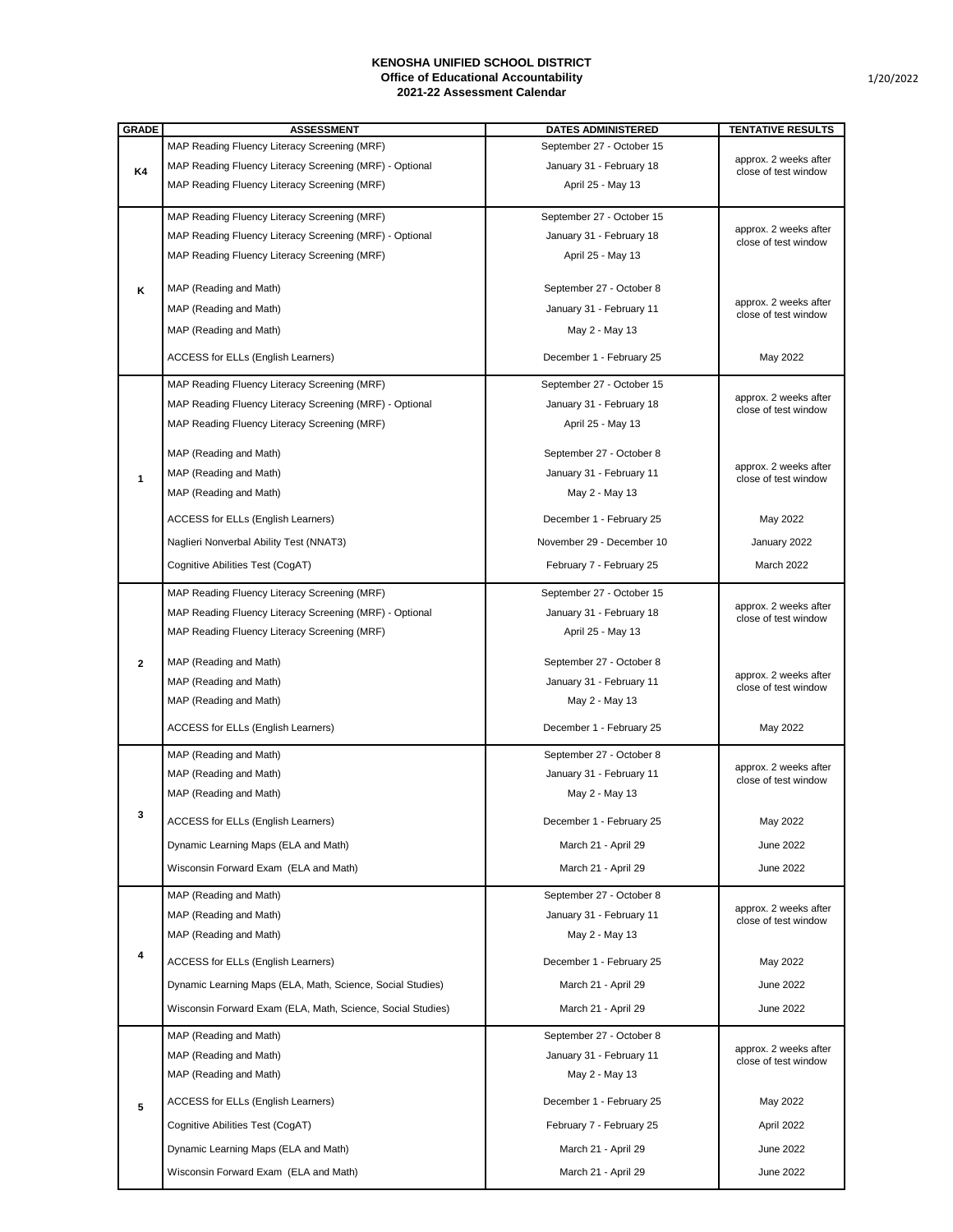1/20/2022

| <b>GRADE</b> | <b>ASSESSMENT</b>                                           | <b>DATES ADMINISTERED</b> | <b>TENTATIVE RESULTS</b>                      |
|--------------|-------------------------------------------------------------|---------------------------|-----------------------------------------------|
|              | MAP Reading Fluency Literacy Screening (MRF)                | September 27 - October 15 |                                               |
| <b>K4</b>    | MAP Reading Fluency Literacy Screening (MRF) - Optional     | January 31 - February 18  | approx. 2 weeks after<br>close of test window |
|              | MAP Reading Fluency Literacy Screening (MRF)                | April 25 - May 13         |                                               |
|              |                                                             |                           |                                               |
|              | MAP Reading Fluency Literacy Screening (MRF)                | September 27 - October 15 |                                               |
|              | MAP Reading Fluency Literacy Screening (MRF) - Optional     | January 31 - February 18  | approx. 2 weeks after<br>close of test window |
|              | MAP Reading Fluency Literacy Screening (MRF)                | April 25 - May 13         |                                               |
|              |                                                             |                           |                                               |
| K            | MAP (Reading and Math)                                      | September 27 - October 8  |                                               |
|              | MAP (Reading and Math)                                      | January 31 - February 11  | approx. 2 weeks after<br>close of test window |
|              | MAP (Reading and Math)                                      | May 2 - May 13            |                                               |
|              |                                                             |                           |                                               |
|              | <b>ACCESS for ELLs (English Learners)</b>                   | December 1 - February 25  | May 2022                                      |
|              | MAP Reading Fluency Literacy Screening (MRF)                | September 27 - October 15 |                                               |
|              | MAP Reading Fluency Literacy Screening (MRF) - Optional     | January 31 - February 18  | approx. 2 weeks after<br>close of test window |
|              | MAP Reading Fluency Literacy Screening (MRF)                | April 25 - May 13         |                                               |
|              |                                                             |                           |                                               |
|              | MAP (Reading and Math)                                      | September 27 - October 8  | approx. 2 weeks after                         |
| $\mathbf 1$  | MAP (Reading and Math)                                      | January 31 - February 11  | close of test window                          |
|              | MAP (Reading and Math)                                      | May 2 - May 13            |                                               |
|              | <b>ACCESS for ELLs (English Learners)</b>                   | December 1 - February 25  | May 2022                                      |
|              | Naglieri Nonverbal Ability Test (NNAT3)                     | November 29 - December 10 | January 2022                                  |
|              | Cognitive Abilities Test (CogAT)                            | February 7 - February 25  | <b>March 2022</b>                             |
|              |                                                             |                           |                                               |
|              | MAP Reading Fluency Literacy Screening (MRF)                | September 27 - October 15 | approx. 2 weeks after                         |
|              | MAP Reading Fluency Literacy Screening (MRF) - Optional     | January 31 - February 18  | close of test window                          |
|              | MAP Reading Fluency Literacy Screening (MRF)                | April 25 - May 13         |                                               |
| $2^{\circ}$  | MAP (Reading and Math)                                      | September 27 - October 8  |                                               |
|              | MAP (Reading and Math)                                      | January 31 - February 11  | approx. 2 weeks after                         |
|              | MAP (Reading and Math)                                      | May 2 - May 13            | close of test window                          |
|              |                                                             |                           |                                               |
|              | <b>ACCESS for ELLs (English Learners)</b>                   | December 1 - February 25  | May 2022                                      |
|              | MAP (Reading and Math)                                      | September 27 - October 8  |                                               |
|              | MAP (Reading and Math)                                      | January 31 - February 11  | approx. 2 weeks after<br>close of test window |
|              | MAP (Reading and Math)                                      | May 2 - May 13            |                                               |
| $\mathbf{3}$ | <b>ACCESS for ELLs (English Learners)</b>                   | December 1 - February 25  | May 2022                                      |
|              |                                                             |                           |                                               |
|              | Dynamic Learning Maps (ELA and Math)                        | March 21 - April 29       | <b>June 2022</b>                              |
|              | Wisconsin Forward Exam (ELA and Math)                       | March 21 - April 29       | <b>June 2022</b>                              |
|              | MAP (Reading and Math)                                      | September 27 - October 8  |                                               |
|              | MAP (Reading and Math)                                      | January 31 - February 11  | approx. 2 weeks after<br>close of test window |
|              | MAP (Reading and Math)                                      | May 2 - May 13            |                                               |
| 4            |                                                             |                           |                                               |
|              | <b>ACCESS for ELLs (English Learners)</b>                   | December 1 - February 25  | May 2022                                      |
|              | Dynamic Learning Maps (ELA, Math, Science, Social Studies)  | March 21 - April 29       | <b>June 2022</b>                              |
|              | Wisconsin Forward Exam (ELA, Math, Science, Social Studies) | March 21 - April 29       | <b>June 2022</b>                              |
|              | MAP (Reading and Math)                                      | September 27 - October 8  |                                               |
|              | MAP (Reading and Math)                                      | January 31 - February 11  | approx. 2 weeks after                         |
| 5            | MAP (Reading and Math)                                      | May 2 - May 13            | close of test window                          |
|              |                                                             |                           |                                               |
|              | <b>ACCESS for ELLs (English Learners)</b>                   | December 1 - February 25  | May 2022                                      |
|              | Cognitive Abilities Test (CogAT)                            | February 7 - February 25  | April 2022                                    |
|              | Dynamic Learning Maps (ELA and Math)                        | March 21 - April 29       | <b>June 2022</b>                              |
|              | Wisconsin Forward Exam (ELA and Math)                       | March 21 - April 29       | <b>June 2022</b>                              |
|              |                                                             |                           |                                               |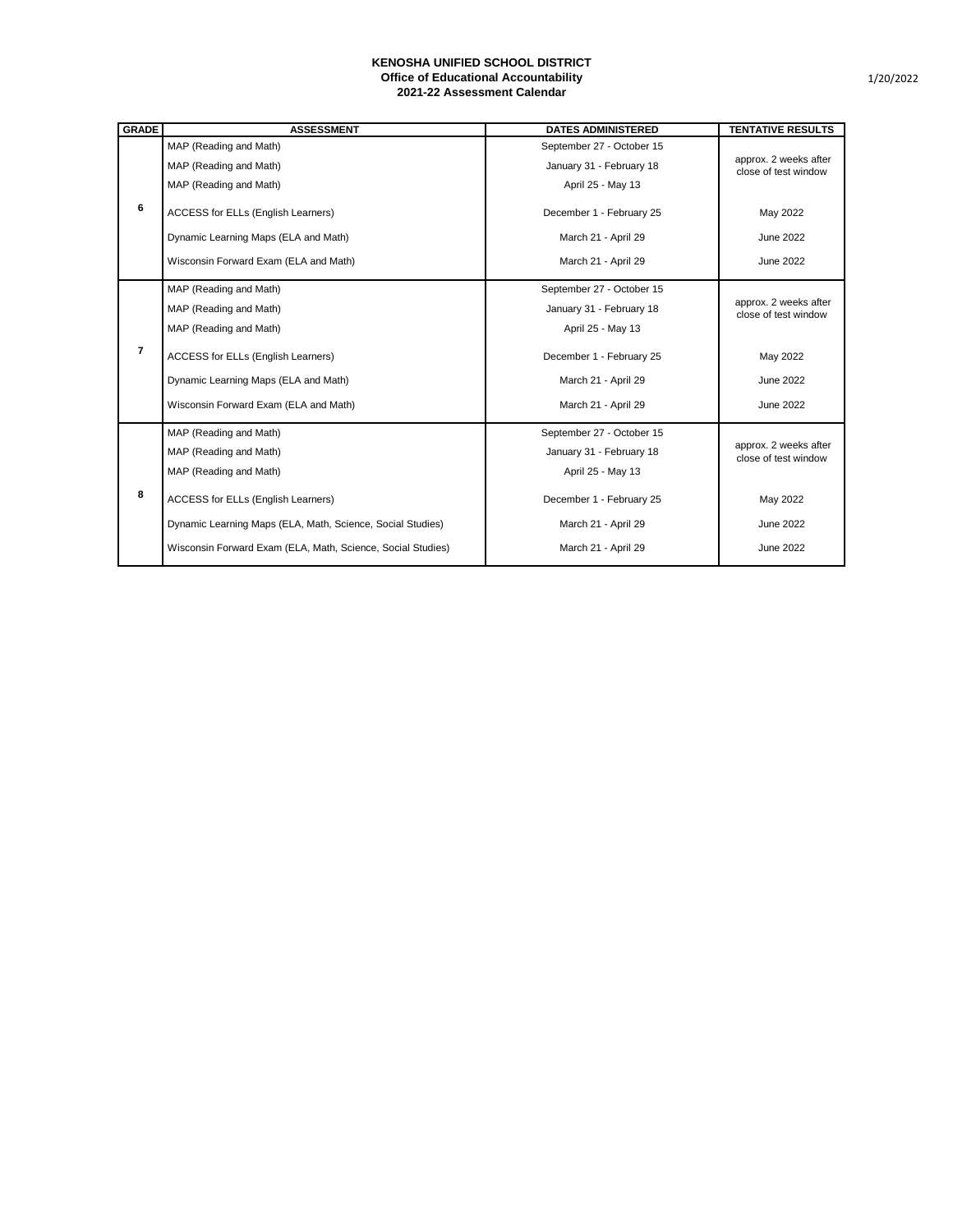| <b>GRADE</b>    | <b>ASSESSMENT</b>                                           | <b>DATES ADMINISTERED</b> | <b>TENTATIVE RESULTS</b>                      |
|-----------------|-------------------------------------------------------------|---------------------------|-----------------------------------------------|
|                 | MAP (Reading and Math)                                      | September 27 - October 15 |                                               |
|                 | MAP (Reading and Math)                                      | January 31 - February 18  | approx. 2 weeks after<br>close of test window |
|                 | MAP (Reading and Math)                                      | April 25 - May 13         |                                               |
| $6\phantom{1}6$ | <b>ACCESS for ELLs (English Learners)</b>                   | December 1 - February 25  | May 2022                                      |
|                 | Dynamic Learning Maps (ELA and Math)                        | March 21 - April 29       | <b>June 2022</b>                              |
|                 | Wisconsin Forward Exam (ELA and Math)                       | March 21 - April 29       | <b>June 2022</b>                              |
| $\overline{7}$  | MAP (Reading and Math)                                      | September 27 - October 15 | approx. 2 weeks after<br>close of test window |
|                 | MAP (Reading and Math)                                      | January 31 - February 18  |                                               |
|                 | MAP (Reading and Math)                                      | April 25 - May 13         |                                               |
|                 | <b>ACCESS for ELLs (English Learners)</b>                   | December 1 - February 25  | May 2022                                      |
|                 | Dynamic Learning Maps (ELA and Math)                        | March 21 - April 29       | <b>June 2022</b>                              |
|                 | Wisconsin Forward Exam (ELA and Math)                       | March 21 - April 29       | <b>June 2022</b>                              |
| 8               | MAP (Reading and Math)                                      | September 27 - October 15 | approx. 2 weeks after<br>close of test window |
|                 | MAP (Reading and Math)                                      | January 31 - February 18  |                                               |
|                 | MAP (Reading and Math)                                      | April 25 - May 13         |                                               |
|                 | <b>ACCESS for ELLs (English Learners)</b>                   | December 1 - February 25  | May 2022                                      |
|                 | Dynamic Learning Maps (ELA, Math, Science, Social Studies)  | March 21 - April 29       | <b>June 2022</b>                              |
|                 | Wisconsin Forward Exam (ELA, Math, Science, Social Studies) | March 21 - April 29       | <b>June 2022</b>                              |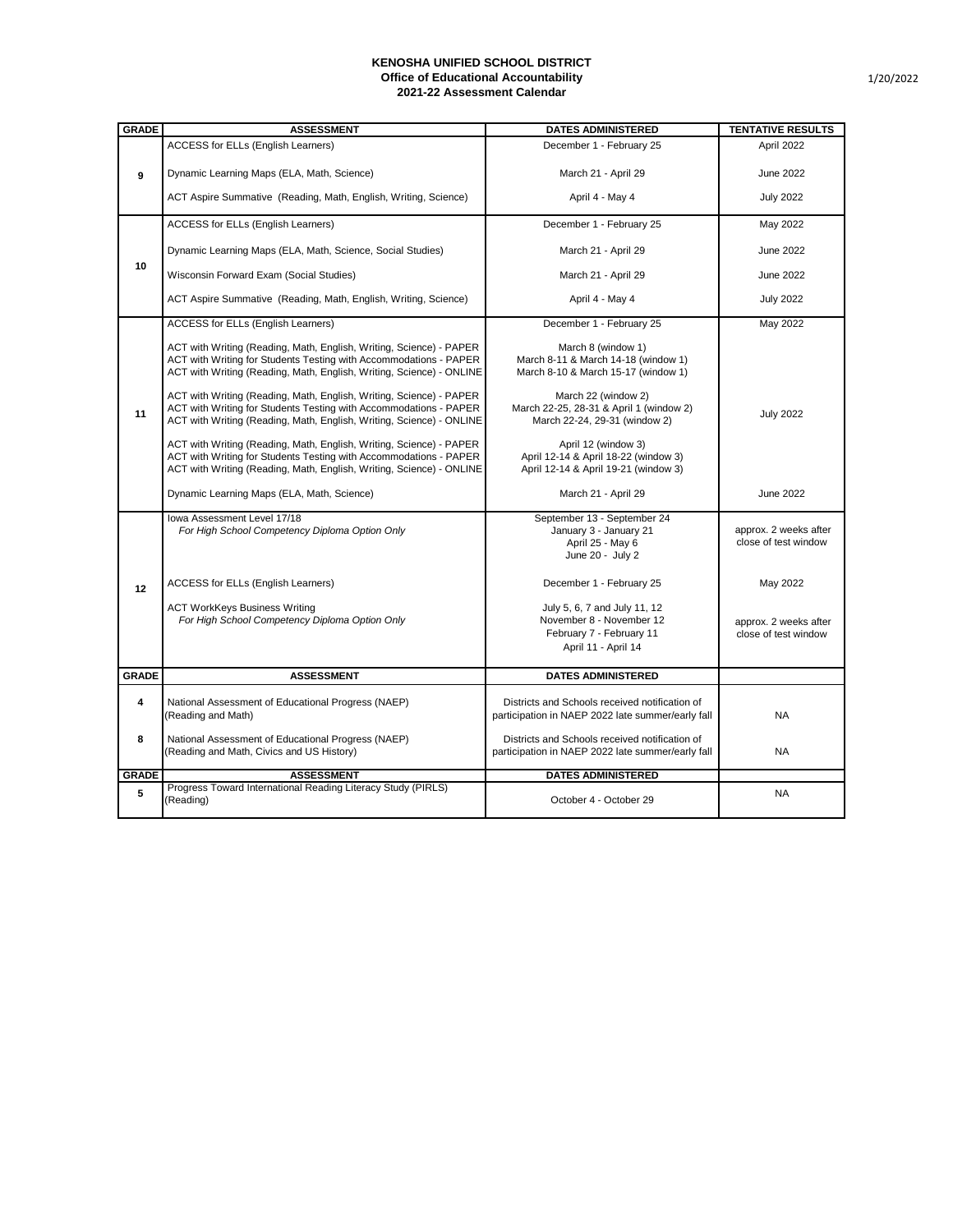| <b>GRADE</b> | <b>ASSESSMENT</b>                                                                                                                                                                                                | <b>DATES ADMINISTERED</b>                                                                                   | <b>TENTATIVE RESULTS</b>                      |
|--------------|------------------------------------------------------------------------------------------------------------------------------------------------------------------------------------------------------------------|-------------------------------------------------------------------------------------------------------------|-----------------------------------------------|
|              | <b>ACCESS for ELLs (English Learners)</b>                                                                                                                                                                        | December 1 - February 25                                                                                    | April 2022                                    |
| 9            | Dynamic Learning Maps (ELA, Math, Science)                                                                                                                                                                       | March 21 - April 29                                                                                         | <b>June 2022</b>                              |
|              | ACT Aspire Summative (Reading, Math, English, Writing, Science)                                                                                                                                                  | April 4 - May 4                                                                                             | <b>July 2022</b>                              |
| 10           | <b>ACCESS for ELLs (English Learners)</b>                                                                                                                                                                        | December 1 - February 25                                                                                    | May 2022                                      |
|              | Dynamic Learning Maps (ELA, Math, Science, Social Studies)                                                                                                                                                       | March 21 - April 29                                                                                         | <b>June 2022</b>                              |
|              | Wisconsin Forward Exam (Social Studies)                                                                                                                                                                          | March 21 - April 29                                                                                         | <b>June 2022</b>                              |
|              | ACT Aspire Summative (Reading, Math, English, Writing, Science)                                                                                                                                                  | April 4 - May 4                                                                                             | <b>July 2022</b>                              |
| 11           | <b>ACCESS for ELLs (English Learners)</b>                                                                                                                                                                        | December 1 - February 25                                                                                    | May 2022                                      |
|              | ACT with Writing (Reading, Math, English, Writing, Science) - PAPER<br>ACT with Writing for Students Testing with Accommodations - PAPER<br>ACT with Writing (Reading, Math, English, Writing, Science) - ONLINE | March 8 (window 1)<br>March 8-11 & March 14-18 (window 1)<br>March 8-10 & March 15-17 (window 1)            |                                               |
|              | ACT with Writing (Reading, Math, English, Writing, Science) - PAPER<br>ACT with Writing for Students Testing with Accommodations - PAPER<br>ACT with Writing (Reading, Math, English, Writing, Science) - ONLINE | March 22 (window 2)<br>March 22-25, 28-31 & April 1 (window 2)<br>March 22-24, 29-31 (window 2)             | <b>July 2022</b>                              |
|              | ACT with Writing (Reading, Math, English, Writing, Science) - PAPER<br>ACT with Writing for Students Testing with Accommodations - PAPER<br>ACT with Writing (Reading, Math, English, Writing, Science) - ONLINE | April 12 (window 3)<br>April 12-14 & April 18-22 (window 3)<br>April 12-14 & April 19-21 (window 3)         |                                               |
|              | Dynamic Learning Maps (ELA, Math, Science)                                                                                                                                                                       | March 21 - April 29                                                                                         | <b>June 2022</b>                              |
| 12           | Iowa Assessment Level 17/18<br>For High School Competency Diploma Option Only                                                                                                                                    | September 13 - September 24<br>January 3 - January 21<br>April 25 - May 6<br>June 20 - July 2               | approx. 2 weeks after<br>close of test window |
|              | <b>ACCESS for ELLs (English Learners)</b>                                                                                                                                                                        | December 1 - February 25                                                                                    | May 2022                                      |
|              | <b>ACT WorkKeys Business Writing</b><br>For High School Competency Diploma Option Only                                                                                                                           | July 5, 6, 7 and July 11, 12<br>November 8 - November 12<br>February 7 - February 11<br>April 11 - April 14 | approx. 2 weeks after<br>close of test window |
| <b>GRADE</b> | <b>ASSESSMENT</b>                                                                                                                                                                                                | <b>DATES ADMINISTERED</b>                                                                                   |                                               |
| 4            | National Assessment of Educational Progress (NAEP)<br>(Reading and Math)                                                                                                                                         | Districts and Schools received notification of<br>participation in NAEP 2022 late summer/early fall         | <b>NA</b>                                     |
| 8            | National Assessment of Educational Progress (NAEP)<br>(Reading and Math, Civics and US History)                                                                                                                  | Districts and Schools received notification of<br>participation in NAEP 2022 late summer/early fall         | <b>NA</b>                                     |
| <b>GRADE</b> | <b>ASSESSMENT</b>                                                                                                                                                                                                | <b>DATES ADMINISTERED</b>                                                                                   |                                               |
| 5            | Progress Toward International Reading Literacy Study (PIRLS)<br>(Reading)                                                                                                                                        | October 4 - October 29                                                                                      | <b>NA</b>                                     |